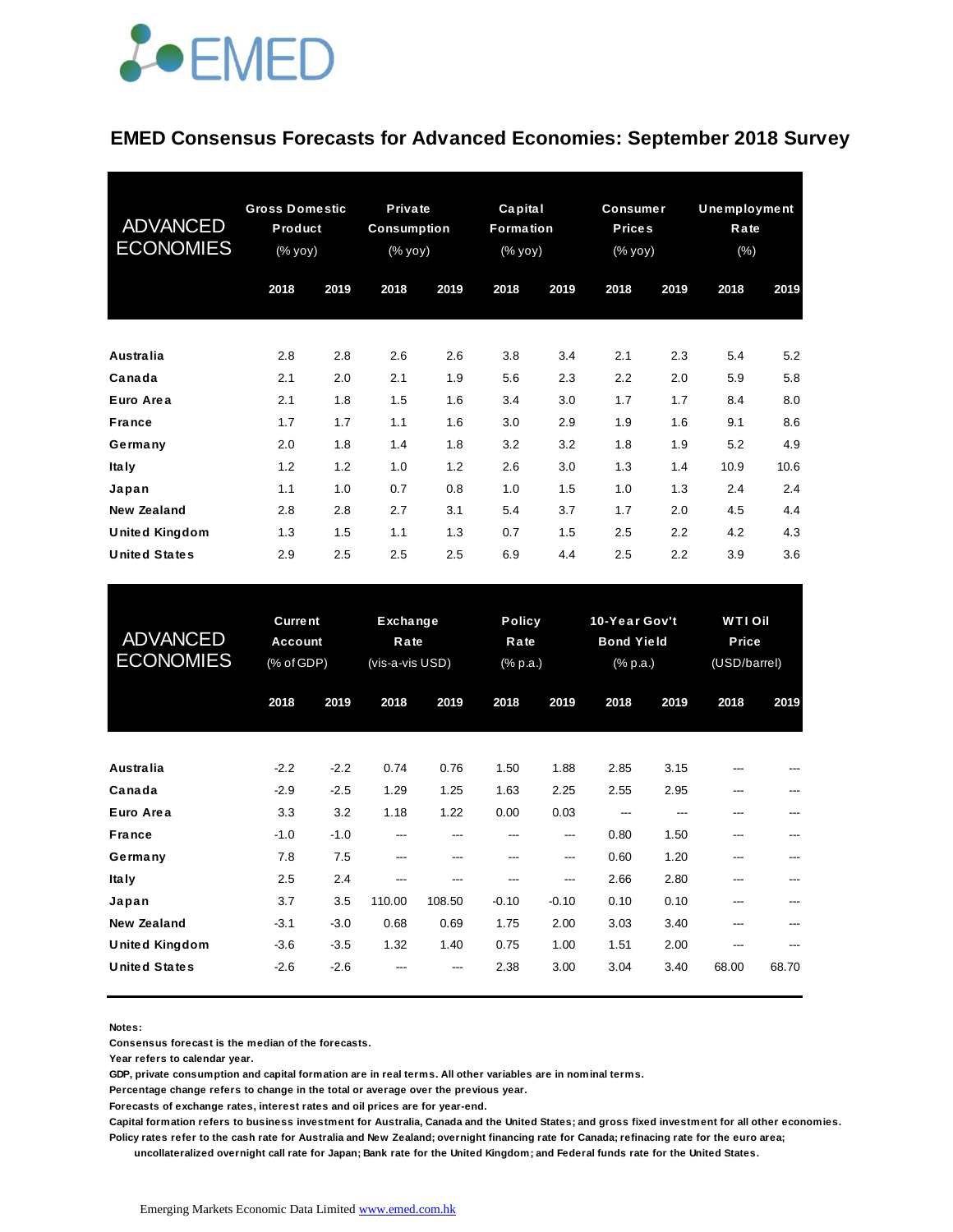

#### **EMED Consensus Forecasts for Advanced Economies: September 2018 Survey**

| <b>ADVANCED</b><br><b>ECONOMIES</b> | <b>Gross Domestic</b><br>Product<br>(% |      | <b>Private</b><br>Consumption<br>(% yoy) |      | Capital<br><b>Formation</b><br>(% yoy) |      | <b>Consumer</b><br><b>Prices</b><br>(% yoy) |      | <b>Unemployment</b><br>Rate<br>$(\%)$ |      |
|-------------------------------------|----------------------------------------|------|------------------------------------------|------|----------------------------------------|------|---------------------------------------------|------|---------------------------------------|------|
|                                     | 2018                                   | 2019 | 2018                                     | 2019 | 2018                                   | 2019 | 2018                                        | 2019 | 2018                                  | 2019 |
| <b>Australia</b>                    | 2.8                                    | 2.8  | 2.6                                      | 2.6  | 3.8                                    | 3.4  | 2.1                                         | 2.3  | 5.4                                   | 5.2  |
| Canada                              | 2.1                                    | 2.0  | 2.1                                      | 1.9  | 5.6                                    | 2.3  | 2.2                                         | 2.0  | 5.9                                   | 5.8  |
| Euro Area                           | 2.1                                    | 1.8  | 1.5                                      | 1.6  | 3.4                                    | 3.0  | 1.7                                         | 1.7  | 8.4                                   | 8.0  |
| <b>France</b>                       | 1.7                                    | 1.7  | 1.1                                      | 1.6  | 3.0                                    | 2.9  | 1.9                                         | 1.6  | 9.1                                   | 8.6  |
| Germany                             | 2.0                                    | 1.8  | 1.4                                      | 1.8  | 3.2                                    | 3.2  | 1.8                                         | 1.9  | 5.2                                   | 4.9  |
| <b>Italy</b>                        | 1.2                                    | 1.2  | 1.0                                      | 1.2  | 2.6                                    | 3.0  | 1.3                                         | 1.4  | 10.9                                  | 10.6 |
| Japan                               | 1.1                                    | 1.0  | 0.7                                      | 0.8  | 1.0                                    | 1.5  | 1.0                                         | 1.3  | 2.4                                   | 2.4  |
| <b>New Zealand</b>                  | 2.8                                    | 2.8  | 2.7                                      | 3.1  | 5.4                                    | 3.7  | 1.7                                         | 2.0  | 4.5                                   | 4.4  |
| <b>United Kingdom</b>               | 1.3                                    | 1.5  | 1.1                                      | 1.3  | 0.7                                    | 1.5  | 2.5                                         | 2.2  | 4.2                                   | 4.3  |
| <b>United States</b>                | 2.9                                    | 2.5  | 2.5                                      | 2.5  | 6.9                                    | 4.4  | 2.5                                         | 2.2  | 3.9                                   | 3.6  |

| <b>United States</b>                                                | 2.9                                     | 2.5                        | 2.5                                        | 2.5           | 6.9                               | 4.4                  | 2.5                                                       | 2.2                  | 3.9                                    | 3.6   |
|---------------------------------------------------------------------|-----------------------------------------|----------------------------|--------------------------------------------|---------------|-----------------------------------|----------------------|-----------------------------------------------------------|----------------------|----------------------------------------|-------|
| <b>ADVANCED</b><br><b>ECONOMIES</b>                                 | <b>Current</b><br>Account<br>(% of GDP) |                            | <b>Exchange</b><br>Rate<br>(vis-a-vis USD) |               | <b>Policy</b><br>Rate<br>(% p.a.) |                      | 10-Year Gov't<br><b>Bond Yield</b><br>$(% )^{2}(x, p, a)$ |                      | <b>WTIOII</b><br>Price<br>(USD/barrel) |       |
|                                                                     | 2018                                    | 2019                       | 2018                                       | 2019          | 2018                              | 2019                 | 2018                                                      | 2019                 | 2018                                   | 2019  |
| <b>Australia</b>                                                    | $-2.2$                                  | $-2.2$                     | 0.74                                       | 0.76          | 1.50                              | 1.88                 | 2.85                                                      | 3.15                 |                                        |       |
| Canada<br>Euro Area                                                 | $-2.9$<br>3.3                           | $-2.5$<br>3.2              | 1.29<br>1.18                               | 1.25<br>1.22  | 1.63<br>0.00                      | 2.25<br>0.03         | 2.55<br>---                                               | 2.95<br>---          |                                        |       |
| <b>France</b><br>Germany                                            | $-1.0$<br>7.8                           | $-1.0$<br>7.5              | ---<br>---                                 | ---<br>---    | ---<br>---                        | ---<br>---           | 0.80<br>0.60                                              | 1.50<br>1.20         | ---<br>---                             |       |
| <b>Italy</b><br>Japan                                               | 2.5<br>3.7                              | 2.4<br>3.5                 | ---<br>110.00                              | ---<br>108.50 | ---<br>$-0.10$                    | ---<br>$-0.10$       | 2.66<br>0.10                                              | 2.80<br>0.10         |                                        |       |
| <b>New Zealand</b><br><b>United Kingdom</b><br><b>United States</b> | $-3.1$<br>$-3.6$<br>$-2.6$              | $-3.0$<br>$-3.5$<br>$-2.6$ | 0.68<br>1.32                               | 0.69<br>1.40  | 1.75<br>0.75<br>2.38              | 2.00<br>1.00<br>3.00 | 3.03<br>1.51<br>3.04                                      | 3.40<br>2.00<br>3.40 | ---<br>---<br>68.00                    | 68.70 |
|                                                                     |                                         |                            |                                            |               |                                   |                      |                                                           |                      |                                        |       |

**Notes:** 

**Consensus forecast is the median of the forecasts.**

**Year refers to calendar year.**

**GDP, private consumption and capital formation are in real terms. All other variables are in nominal terms.**

**Percentage change refers to change in the total or average over the previous year.**

**Forecasts of exchange rates, interest rates and oil prices are for year-end.**

**Capital formation refers to business investment for Australia, Canada and the United States; and gross fixed investment for all other economies. Policy rates refer to the cash rate for Australia and New Zealand; overnight financing rate for Canada; refinacing rate for the euro area;** 

 **uncollateralized overnight call rate for Japan; Bank rate for the United Kingdom; and Federal funds rate for the United States.**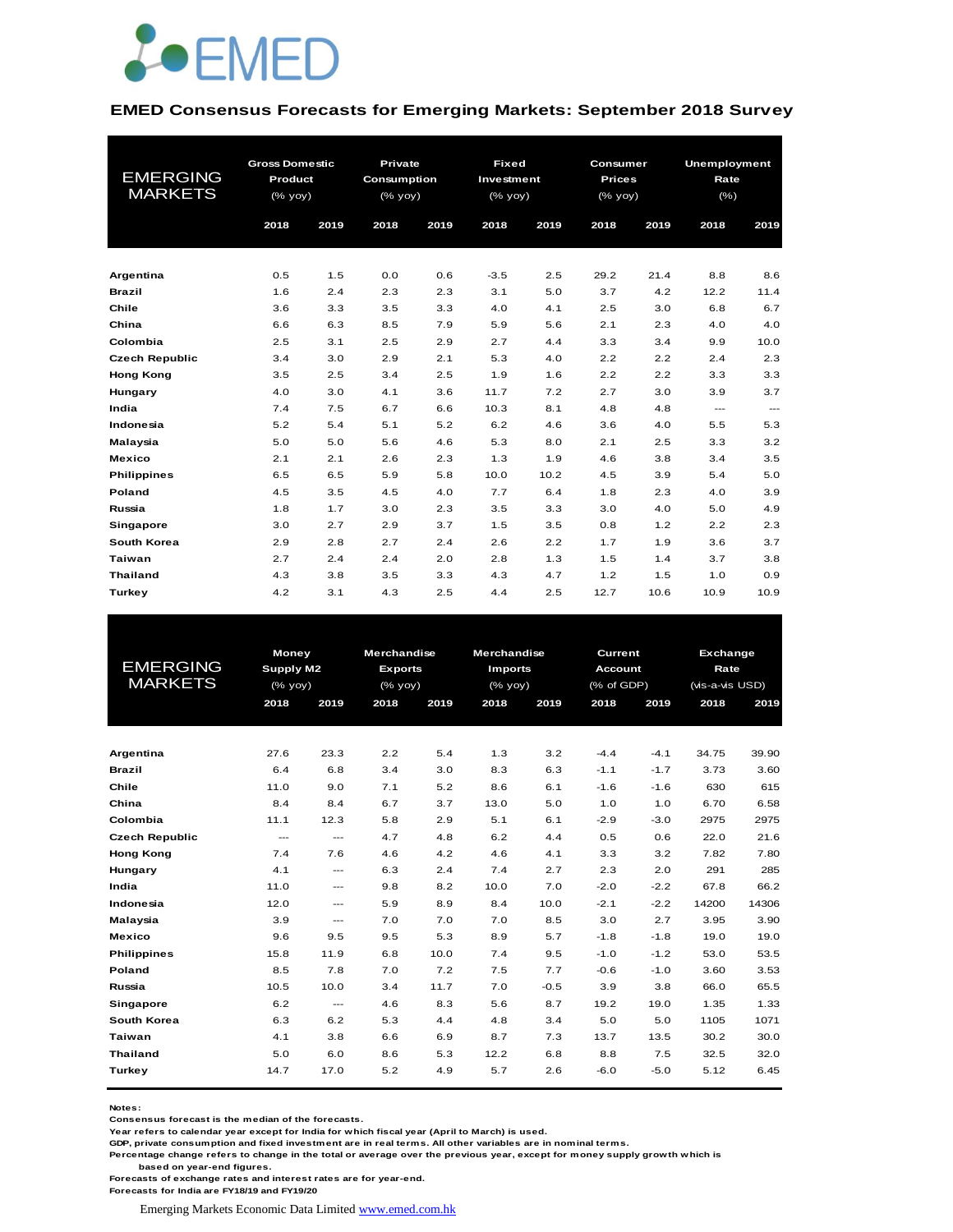

#### **EMED Consensus Forecasts for Emerging Markets: September 2018 Survey**

|                       | <b>Gross Domestic</b> |      | Private     |      | <b>Fixed</b> |      | Consumer      |      | <b>Unemployment</b>      |                        |
|-----------------------|-----------------------|------|-------------|------|--------------|------|---------------|------|--------------------------|------------------------|
| <b>EMERGING</b>       | Product               |      | Consumption |      | Investment   |      | <b>Prices</b> |      | Rate                     |                        |
| <b>MARKETS</b>        | (% yoy)               |      | (% yoy)     |      | (% yoy)      |      | (% yoy)       |      | $(\% )$                  |                        |
|                       |                       |      |             |      |              |      |               |      |                          |                        |
|                       | 2018                  | 2019 | 2018        | 2019 | 2018         | 2019 | 2018          | 2019 | 2018                     | 2019                   |
|                       |                       |      |             |      |              |      |               |      |                          |                        |
| Argentina             | 0.5                   | 1.5  | 0.0         | 0.6  | $-3.5$       | 2.5  | 29.2          | 21.4 | 8.8                      | 8.6                    |
| <b>Brazil</b>         | 1.6                   | 2.4  | 2.3         | 2.3  | 3.1          | 5.0  | 3.7           | 4.2  | 12.2                     | 11.4                   |
| Chile                 | 3.6                   | 3.3  | 3.5         | 3.3  | 4.0          | 4.1  | 2.5           | 3.0  | 6.8                      | 6.7                    |
| China                 | 6.6                   | 6.3  | 8.5         | 7.9  | 5.9          | 5.6  | 2.1           | 2.3  | 4.0                      | 4.0                    |
| Colombia              | 2.5                   | 3.1  | 2.5         | 2.9  | 2.7          | 4.4  | 3.3           | 3.4  | 9.9                      | 10.0                   |
| <b>Czech Republic</b> | 3.4                   | 3.0  | 2.9         | 2.1  | 5.3          | 4.0  | 2.2           | 2.2  | 2.4                      | 2.3                    |
| <b>Hong Kong</b>      | 3.5                   | 2.5  | 3.4         | 2.5  | 1.9          | 1.6  | 2.2           | 2.2  | 3.3                      | 3.3                    |
| Hungary               | 4.0                   | 3.0  | 4.1         | 3.6  | 11.7         | 7.2  | 2.7           | 3.0  | 3.9                      | 3.7                    |
| India                 | 7.4                   | 7.5  | 6.7         | 6.6  | 10.3         | 8.1  | 4.8           | 4.8  | $\hspace{0.05cm} \ldots$ | $\qquad \qquad \cdots$ |
| Indonesia             | 5.2                   | 5.4  | 5.1         | 5.2  | 6.2          | 4.6  | 3.6           | 4.0  | 5.5                      | 5.3                    |
| Malaysia              | 5.0                   | 5.0  | 5.6         | 4.6  | 5.3          | 8.0  | 2.1           | 2.5  | 3.3                      | 3.2                    |
| <b>Mexico</b>         | 2.1                   | 2.1  | 2.6         | 2.3  | 1.3          | 1.9  | 4.6           | 3.8  | 3.4                      | 3.5                    |
| <b>Philippines</b>    | 6.5                   | 6.5  | 5.9         | 5.8  | 10.0         | 10.2 | 4.5           | 3.9  | 5.4                      | 5.0                    |
| Poland                | 4.5                   | 3.5  | 4.5         | 4.0  | 7.7          | 6.4  | 1.8           | 2.3  | 4.0                      | 3.9                    |
| Russia                | 1.8                   | 1.7  | 3.0         | 2.3  | 3.5          | 3.3  | 3.0           | 4.0  | 5.0                      | 4.9                    |
| Singapore             | 3.0                   | 2.7  | 2.9         | 3.7  | 1.5          | 3.5  | 0.8           | 1.2  | 2.2                      | 2.3                    |
| South Korea           | 2.9                   | 2.8  | 2.7         | 2.4  | 2.6          | 2.2  | 1.7           | 1.9  | 3.6                      | 3.7                    |
| Taiwan                | 2.7                   | 2.4  | 2.4         | 2.0  | 2.8          | 1.3  | 1.5           | 1.4  | 3.7                      | 3.8                    |
| <b>Thailand</b>       | 4.3                   | 3.8  | 3.5         | 3.3  | 4.3          | 4.7  | 1.2           | 1.5  | 1.0                      | 0.9                    |
| Turkey                | 4.2                   | 3.1  | 4.3         | 2.5  | 4.4          | 2.5  | 12.7          | 10.6 | 10.9                     | 10.9                   |

|                       | <b>Money</b>     |                        | <b>Merchandise</b> |      | <b>Merchandise</b> |        | Current        |        | Exchange        |       |
|-----------------------|------------------|------------------------|--------------------|------|--------------------|--------|----------------|--------|-----------------|-------|
| EMERGING              | <b>Supply M2</b> |                        | <b>Exports</b>     |      | <b>Imports</b>     |        | <b>Account</b> |        | Rate            |       |
| <b>MARKETS</b>        | (% yoy)          |                        | $(%$ (% yoy)       |      | $(%$ (% yoy)       |        | (% of GDP)     |        | (vis-a-vis USD) |       |
|                       | 2018             | 2019                   | 2018               | 2019 | 2018               | 2019   | 2018           | 2019   | 2018            | 2019  |
|                       |                  |                        |                    |      |                    |        |                |        |                 |       |
| Argentina             | 27.6             | 23.3                   | 2.2                | 5.4  | 1.3                | 3.2    | $-4.4$         | $-4.1$ | 34.75           | 39.90 |
| <b>Brazil</b>         | 6.4              | 6.8                    | 3.4                | 3.0  | 8.3                | 6.3    | $-1.1$         | $-1.7$ | 3.73            | 3.60  |
| Chile                 | 11.0             | 9.0                    | 7.1                | 5.2  | 8.6                | 6.1    | $-1.6$         | $-1.6$ | 630             | 615   |
| China                 | 8.4              | 8.4                    | 6.7                | 3.7  | 13.0               | 5.0    | 1.0            | 1.0    | 6.70            | 6.58  |
| Colombia              | 11.1             | 12.3                   | 5.8                | 2.9  | 5.1                | 6.1    | $-2.9$         | $-3.0$ | 2975            | 2975  |
| <b>Czech Republic</b> | $\sim$ $\sim$    | $\sim$ $\sim$          | 4.7                | 4.8  | 6.2                | 4.4    | 0.5            | 0.6    | 22.0            | 21.6  |
| <b>Hong Kong</b>      | 7.4              | 7.6                    | 4.6                | 4.2  | 4.6                | 4.1    | 3.3            | 3.2    | 7.82            | 7.80  |
| Hungary               | 4.1              | $---$                  | 6.3                | 2.4  | 7.4                | 2.7    | 2.3            | 2.0    | 291             | 285   |
| India                 | 11.0             | ---                    | 9.8                | 8.2  | 10.0               | 7.0    | $-2.0$         | $-2.2$ | 67.8            | 66.2  |
| Indonesia             | 12.0             | ---                    | 5.9                | 8.9  | 8.4                | 10.0   | $-2.1$         | $-2.2$ | 14200           | 14306 |
| Malaysia              | 3.9              | $\qquad \qquad \cdots$ | 7.0                | 7.0  | 7.0                | 8.5    | 3.0            | 2.7    | 3.95            | 3.90  |
| Mexico                | 9.6              | 9.5                    | 9.5                | 5.3  | 8.9                | 5.7    | $-1.8$         | $-1.8$ | 19.0            | 19.0  |
| <b>Philippines</b>    | 15.8             | 11.9                   | 6.8                | 10.0 | 7.4                | 9.5    | $-1.0$         | $-1.2$ | 53.0            | 53.5  |
| Poland                | 8.5              | 7.8                    | 7.0                | 7.2  | 7.5                | 7.7    | $-0.6$         | $-1.0$ | 3.60            | 3.53  |
| Russia                | 10.5             | 10.0                   | 3.4                | 11.7 | 7.0                | $-0.5$ | 3.9            | 3.8    | 66.0            | 65.5  |
| <b>Singapore</b>      | 6.2              | $---$                  | 4.6                | 8.3  | 5.6                | 8.7    | 19.2           | 19.0   | 1.35            | 1.33  |
| South Korea           | 6.3              | 6.2                    | 5.3                | 4.4  | 4.8                | 3.4    | 5.0            | 5.0    | 1105            | 1071  |
| Taiwan                | 4.1              | 3.8                    | 6.6                | 6.9  | 8.7                | 7.3    | 13.7           | 13.5   | 30.2            | 30.0  |
| <b>Thailand</b>       | 5.0              | 6.0                    | 8.6                | 5.3  | 12.2               | 6.8    | 8.8            | 7.5    | 32.5            | 32.0  |
| Turkey                | 14.7             | 17.0                   | 5.2                | 4.9  | 5.7                | 2.6    | $-6.0$         | $-5.0$ | 5.12            | 6.45  |
|                       |                  |                        |                    |      |                    |        |                |        |                 |       |

**Notes:** 

**Consensus forecast is the median of the forecasts.**

**Year refers to calendar year except for India for which fiscal year (April to March) is used. GDP, private consumption and fixed investment are in real terms. All other variables are in nominal terms.**

**Percentage change refers to change in the total or average over the previous year, except for money supply growth which is based on year-end figures.**

**Forecasts of exchange rates and interest rates are for year-end.**

**Forecasts for India are FY18/19 and FY19/20**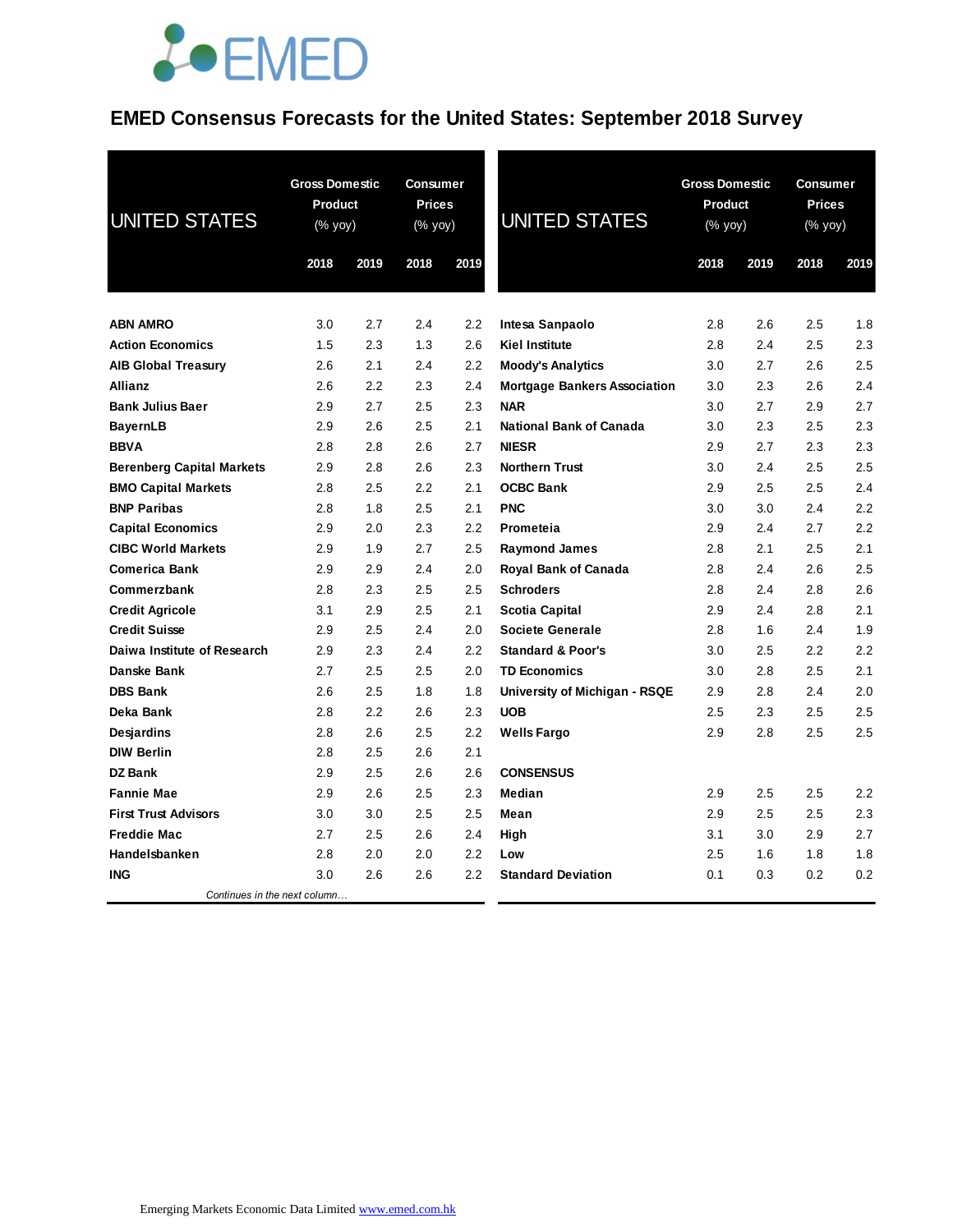## **JOEMED**

### **EMED Consensus Forecasts for the United States: September 2018 Survey**

| <b>UNITED STATES</b>             | <b>Gross Domestic</b><br>Product<br>(% yoy)<br>2018<br>2019 |     | <b>Consumer</b><br><b>Prices</b><br>(% yoy)<br>2018 | 2019 | <b>UNITED STATES</b>                | <b>Gross Domestic</b><br>Product<br>(% yoy)<br>2018 | 2019 | <b>Consumer</b><br><b>Prices</b><br>(% yoy)<br>2018 | 2019 |
|----------------------------------|-------------------------------------------------------------|-----|-----------------------------------------------------|------|-------------------------------------|-----------------------------------------------------|------|-----------------------------------------------------|------|
|                                  |                                                             |     |                                                     |      |                                     |                                                     |      |                                                     |      |
| <b>ABN AMRO</b>                  | 3.0                                                         | 2.7 | 2.4                                                 | 2.2  | Intesa Sanpaolo                     | 2.8                                                 | 2.6  | 2.5                                                 | 1.8  |
| <b>Action Economics</b>          | 1.5                                                         | 2.3 | 1.3                                                 | 2.6  | <b>Kiel Institute</b>               | 2.8                                                 | 2.4  | 2.5                                                 | 2.3  |
| <b>AIB Global Treasury</b>       | 2.6                                                         | 2.1 | 2.4                                                 | 2.2  | <b>Moody's Analytics</b>            | 3.0                                                 | 2.7  | 2.6                                                 | 2.5  |
| Allianz                          | 2.6                                                         | 2.2 | 2.3                                                 | 2.4  | <b>Mortgage Bankers Association</b> | 3.0                                                 | 2.3  | 2.6                                                 | 2.4  |
| <b>Bank Julius Baer</b>          | 2.9                                                         | 2.7 | 2.5                                                 | 2.3  | <b>NAR</b>                          | 3.0                                                 | 2.7  | 2.9                                                 | 2.7  |
| <b>BayernLB</b>                  | 2.9                                                         | 2.6 | 2.5                                                 | 2.1  | <b>National Bank of Canada</b>      | 3.0                                                 | 2.3  | 2.5                                                 | 2.3  |
| <b>BBVA</b>                      | 2.8                                                         | 2.8 | 2.6                                                 | 2.7  | <b>NIESR</b>                        | 2.9                                                 | 2.7  | 2.3                                                 | 2.3  |
| <b>Berenberg Capital Markets</b> | 2.9                                                         | 2.8 | 2.6                                                 | 2.3  | <b>Northern Trust</b>               | 3.0                                                 | 2.4  | 2.5                                                 | 2.5  |
| <b>BMO Capital Markets</b>       | 2.8                                                         | 2.5 | $2.2\,$                                             | 2.1  | <b>OCBC Bank</b>                    | 2.9                                                 | 2.5  | 2.5                                                 | 2.4  |
| <b>BNP Paribas</b>               | 2.8                                                         | 1.8 | 2.5                                                 | 2.1  | <b>PNC</b>                          | 3.0                                                 | 3.0  | 2.4                                                 | 2.2  |
| <b>Capital Economics</b>         | 2.9                                                         | 2.0 | 2.3                                                 | 2.2  | Prometeia                           | 2.9                                                 | 2.4  | 2.7                                                 | 2.2  |
| <b>CIBC World Markets</b>        | 2.9                                                         | 1.9 | 2.7                                                 | 2.5  | <b>Raymond James</b>                | 2.8                                                 | 2.1  | 2.5                                                 | 2.1  |
| <b>Comerica Bank</b>             | 2.9                                                         | 2.9 | 2.4                                                 | 2.0  | Royal Bank of Canada                | 2.8                                                 | 2.4  | 2.6                                                 | 2.5  |
| Commerzbank                      | 2.8                                                         | 2.3 | 2.5                                                 | 2.5  | <b>Schroders</b>                    | 2.8                                                 | 2.4  | 2.8                                                 | 2.6  |
| <b>Credit Agricole</b>           | 3.1                                                         | 2.9 | 2.5                                                 | 2.1  | Scotia Capital                      | 2.9                                                 | 2.4  | 2.8                                                 | 2.1  |
| <b>Credit Suisse</b>             | 2.9                                                         | 2.5 | 2.4                                                 | 2.0  | <b>Societe Generale</b>             | 2.8                                                 | 1.6  | 2.4                                                 | 1.9  |
| Daiwa Institute of Research      | 2.9                                                         | 2.3 | 2.4                                                 | 2.2  | <b>Standard &amp; Poor's</b>        | 3.0                                                 | 2.5  | 2.2                                                 | 2.2  |
| Danske Bank                      | 2.7                                                         | 2.5 | 2.5                                                 | 2.0  | <b>TD Economics</b>                 | 3.0                                                 | 2.8  | 2.5                                                 | 2.1  |
| <b>DBS Bank</b>                  | 2.6                                                         | 2.5 | 1.8                                                 | 1.8  | University of Michigan - RSQE       | 2.9                                                 | 2.8  | 2.4                                                 | 2.0  |
| Deka Bank                        | 2.8                                                         | 2.2 | 2.6                                                 | 2.3  | <b>UOB</b>                          | 2.5                                                 | 2.3  | 2.5                                                 | 2.5  |
| <b>Desjardins</b>                | 2.8                                                         | 2.6 | 2.5                                                 | 2.2  | <b>Wells Fargo</b>                  | 2.9                                                 | 2.8  | 2.5                                                 | 2.5  |
| <b>DIW Berlin</b>                | 2.8                                                         | 2.5 | 2.6                                                 | 2.1  |                                     |                                                     |      |                                                     |      |
| <b>DZ Bank</b>                   | 2.9                                                         | 2.5 | 2.6                                                 | 2.6  | <b>CONSENSUS</b>                    |                                                     |      |                                                     |      |
| <b>Fannie Mae</b>                | 2.9                                                         | 2.6 | 2.5                                                 | 2.3  | Median                              | 2.9                                                 | 2.5  | 2.5                                                 | 2.2  |
| <b>First Trust Advisors</b>      | 3.0                                                         | 3.0 | 2.5                                                 | 2.5  | Mean                                | 2.9                                                 | 2.5  | 2.5                                                 | 2.3  |
| <b>Freddie Mac</b>               | 2.7                                                         | 2.5 | 2.6                                                 | 2.4  | High                                | 3.1                                                 | 3.0  | 2.9                                                 | 2.7  |
| Handelsbanken                    | 2.8                                                         | 2.0 | 2.0                                                 | 2.2  | Low                                 | 2.5                                                 | 1.6  | 1.8                                                 | 1.8  |
| <b>ING</b>                       | 3.0                                                         | 2.6 | 2.6                                                 | 2.2  | <b>Standard Deviation</b>           | 0.1                                                 | 0.3  | 0.2                                                 | 0.2  |
| Continues in the next column     |                                                             |     |                                                     |      |                                     |                                                     |      |                                                     |      |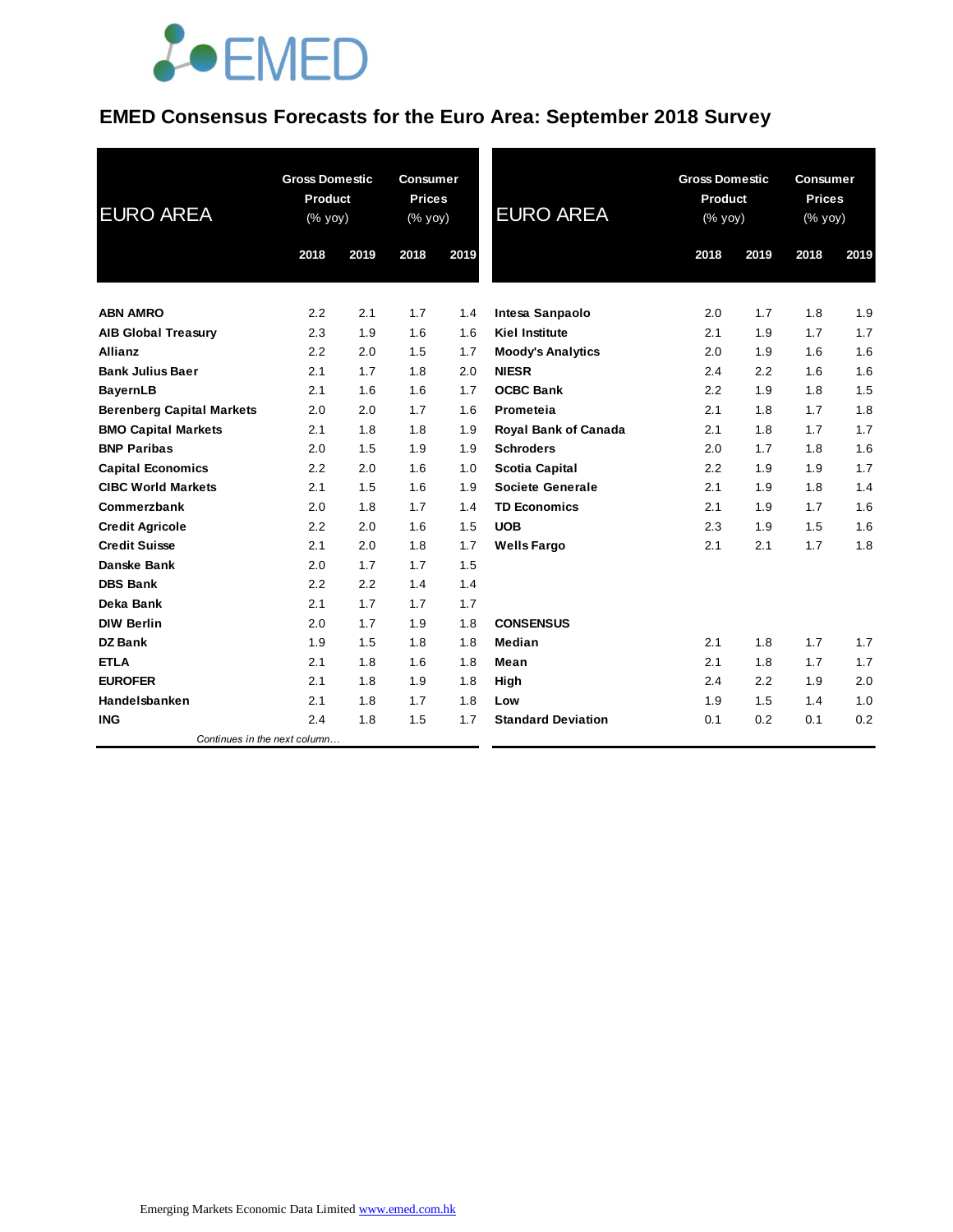

### **EMED Consensus Forecasts for the Euro Area: September 2018 Survey**

| <b>EURO AREA</b>                 | <b>Gross Domestic</b><br><b>Product</b><br>(% yoy) |      | <b>Consumer</b><br><b>Prices</b><br>$(% \mathsf{Y}^{\prime }\mathsf{Y}^{\prime }\mathsf{Y}^{\prime })$ |      | <b>EURO AREA</b>            |      | <b>Gross Domestic</b><br><b>Product</b><br>(% yoy) |      | <b>Consumer</b><br><b>Prices</b><br>(% yoy) |  |
|----------------------------------|----------------------------------------------------|------|--------------------------------------------------------------------------------------------------------|------|-----------------------------|------|----------------------------------------------------|------|---------------------------------------------|--|
|                                  | 2018                                               | 2019 | 2018                                                                                                   | 2019 |                             | 2018 | 2019                                               | 2018 | 2019                                        |  |
| <b>ABN AMRO</b>                  | 2.2                                                | 2.1  | 1.7                                                                                                    | 1.4  | Intesa Sanpaolo             | 2.0  | 1.7                                                | 1.8  | 1.9                                         |  |
| <b>AIB Global Treasury</b>       | 2.3                                                | 1.9  | 1.6                                                                                                    | 1.6  | <b>Kiel Institute</b>       | 2.1  | 1.9                                                | 1.7  | 1.7                                         |  |
| Allianz                          | 2.2                                                | 2.0  | 1.5                                                                                                    | 1.7  | <b>Moody's Analytics</b>    | 2.0  | 1.9                                                | 1.6  | 1.6                                         |  |
| <b>Bank Julius Baer</b>          | 2.1                                                | 1.7  | 1.8                                                                                                    | 2.0  | <b>NIESR</b>                | 2.4  | 2.2                                                | 1.6  | 1.6                                         |  |
| <b>BayernLB</b>                  | 2.1                                                | 1.6  | 1.6                                                                                                    | 1.7  | <b>OCBC Bank</b>            | 2.2  | 1.9                                                | 1.8  | 1.5                                         |  |
| <b>Berenberg Capital Markets</b> | 2.0                                                | 2.0  | 1.7                                                                                                    | 1.6  | Prometeia                   | 2.1  | 1.8                                                | 1.7  | 1.8                                         |  |
| <b>BMO Capital Markets</b>       | 2.1                                                | 1.8  | 1.8                                                                                                    | 1.9  | <b>Royal Bank of Canada</b> | 2.1  | 1.8                                                | 1.7  | 1.7                                         |  |
| <b>BNP Paribas</b>               | 2.0                                                | 1.5  | 1.9                                                                                                    | 1.9  | <b>Schroders</b>            | 2.0  | 1.7                                                | 1.8  | 1.6                                         |  |
| <b>Capital Economics</b>         | 2.2                                                | 2.0  | 1.6                                                                                                    | 1.0  | <b>Scotia Capital</b>       | 2.2  | 1.9                                                | 1.9  | 1.7                                         |  |
| <b>CIBC World Markets</b>        | 2.1                                                | 1.5  | 1.6                                                                                                    | 1.9  | Societe Generale            | 2.1  | 1.9                                                | 1.8  | 1.4                                         |  |
| Commerzbank                      | 2.0                                                | 1.8  | 1.7                                                                                                    | 1.4  | <b>TD Economics</b>         | 2.1  | 1.9                                                | 1.7  | 1.6                                         |  |
| <b>Credit Agricole</b>           | 2.2                                                | 2.0  | 1.6                                                                                                    | 1.5  | <b>UOB</b>                  | 2.3  | 1.9                                                | 1.5  | 1.6                                         |  |
| <b>Credit Suisse</b>             | 2.1                                                | 2.0  | 1.8                                                                                                    | 1.7  | <b>Wells Fargo</b>          | 2.1  | 2.1                                                | 1.7  | 1.8                                         |  |
| Danske Bank                      | 2.0                                                | 1.7  | 1.7                                                                                                    | 1.5  |                             |      |                                                    |      |                                             |  |
| <b>DBS Bank</b>                  | 2.2                                                | 2.2  | 1.4                                                                                                    | 1.4  |                             |      |                                                    |      |                                             |  |
| Deka Bank                        | 2.1                                                | 1.7  | 1.7                                                                                                    | 1.7  |                             |      |                                                    |      |                                             |  |
| <b>DIW Berlin</b>                | 2.0                                                | 1.7  | 1.9                                                                                                    | 1.8  | <b>CONSENSUS</b>            |      |                                                    |      |                                             |  |
| <b>DZ Bank</b>                   | 1.9                                                | 1.5  | 1.8                                                                                                    | 1.8  | Median                      | 2.1  | 1.8                                                | 1.7  | 1.7                                         |  |
| <b>ETLA</b>                      | 2.1                                                | 1.8  | 1.6                                                                                                    | 1.8  | Mean                        | 2.1  | 1.8                                                | 1.7  | 1.7                                         |  |
| <b>EUROFER</b>                   | 2.1                                                | 1.8  | 1.9                                                                                                    | 1.8  | High                        | 2.4  | 2.2                                                | 1.9  | 2.0                                         |  |
| Handelsbanken                    | 2.1                                                | 1.8  | 1.7                                                                                                    | 1.8  | Low                         | 1.9  | 1.5                                                | 1.4  | 1.0                                         |  |
| <b>ING</b>                       | 2.4                                                | 1.8  | 1.5                                                                                                    | 1.7  | <b>Standard Deviation</b>   | 0.1  | 0.2                                                | 0.1  | 0.2                                         |  |
| Continues in the next column     |                                                    |      |                                                                                                        |      |                             |      |                                                    |      |                                             |  |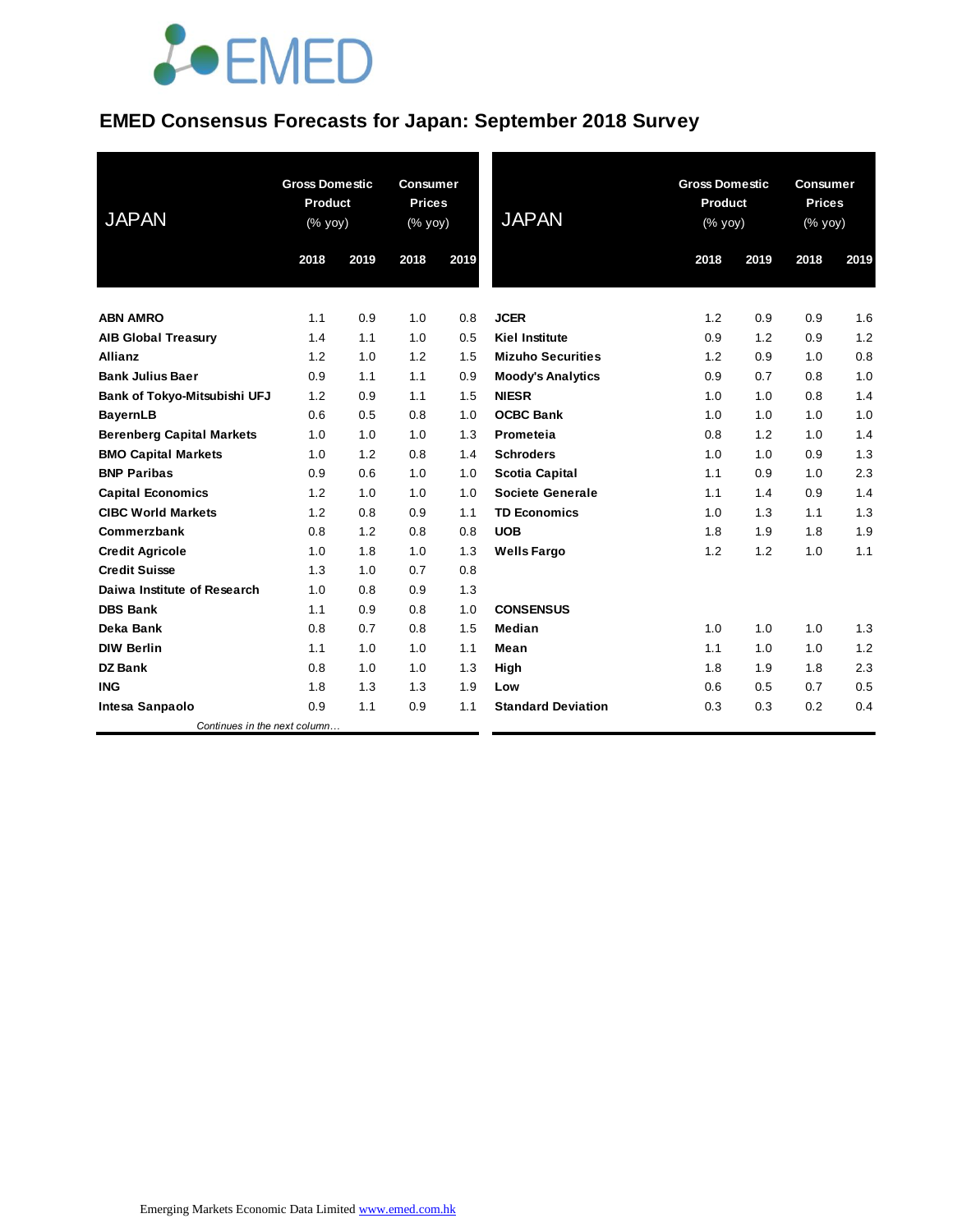# **JOEMED**

### **EMED Consensus Forecasts for Japan: September 2018 Survey**

| <b>JAPAN</b>                     | <b>Gross Domestic</b><br><b>Product</b><br>(% yoy) |      | <b>Consumer</b><br><b>Prices</b><br>(% yoy) |      | <b>JAPAN</b>              | <b>Gross Domestic</b><br>Product<br>(% yoy) |      | <b>Consumer</b><br><b>Prices</b><br>$(% \mathsf{Y}^{\prime }\mathsf{Y}^{\prime }\mathsf{Y}^{\prime })$ |      |
|----------------------------------|----------------------------------------------------|------|---------------------------------------------|------|---------------------------|---------------------------------------------|------|--------------------------------------------------------------------------------------------------------|------|
|                                  | 2018                                               | 2019 | 2018                                        | 2019 |                           | 2018                                        | 2019 | 2018                                                                                                   | 2019 |
| <b>ABN AMRO</b>                  | 1.1                                                | 0.9  | 1.0                                         | 0.8  | <b>JCER</b>               | 1.2                                         | 0.9  | 0.9                                                                                                    | 1.6  |
| <b>AIB Global Treasury</b>       | 1.4                                                | 1.1  | 1.0                                         | 0.5  | <b>Kiel Institute</b>     | 0.9                                         | 1.2  | 0.9                                                                                                    | 1.2  |
| <b>Allianz</b>                   | 1.2                                                | 1.0  | 1.2                                         | 1.5  | <b>Mizuho Securities</b>  | 1.2                                         | 0.9  | 1.0                                                                                                    | 0.8  |
| <b>Bank Julius Baer</b>          | 0.9                                                | 1.1  | 1.1                                         | 0.9  | <b>Moody's Analytics</b>  | 0.9                                         | 0.7  | 0.8                                                                                                    | 1.0  |
| Bank of Tokyo-Mitsubishi UFJ     | 1.2                                                | 0.9  | 1.1                                         | 1.5  | <b>NIESR</b>              | 1.0                                         | 1.0  | 0.8                                                                                                    | 1.4  |
| <b>BayernLB</b>                  | 0.6                                                | 0.5  | 0.8                                         | 1.0  | <b>OCBC Bank</b>          | 1.0                                         | 1.0  | 1.0                                                                                                    | 1.0  |
| <b>Berenberg Capital Markets</b> | 1.0                                                | 1.0  | 1.0                                         | 1.3  | Prometeia                 | 0.8                                         | 1.2  | 1.0                                                                                                    | 1.4  |
| <b>BMO Capital Markets</b>       | 1.0                                                | 1.2  | 0.8                                         | 1.4  | <b>Schroders</b>          | 1.0                                         | 1.0  | 0.9                                                                                                    | 1.3  |
| <b>BNP Paribas</b>               | 0.9                                                | 0.6  | 1.0                                         | 1.0  | <b>Scotia Capital</b>     | 1.1                                         | 0.9  | 1.0                                                                                                    | 2.3  |
| <b>Capital Economics</b>         | 1.2                                                | 1.0  | 1.0                                         | 1.0  | <b>Societe Generale</b>   | 1.1                                         | 1.4  | 0.9                                                                                                    | 1.4  |
| <b>CIBC World Markets</b>        | 1.2                                                | 0.8  | 0.9                                         | 1.1  | <b>TD Economics</b>       | 1.0                                         | 1.3  | 1.1                                                                                                    | 1.3  |
| Commerzbank                      | 0.8                                                | 1.2  | 0.8                                         | 0.8  | <b>UOB</b>                | 1.8                                         | 1.9  | 1.8                                                                                                    | 1.9  |
| <b>Credit Agricole</b>           | 1.0                                                | 1.8  | 1.0                                         | 1.3  | <b>Wells Fargo</b>        | 1.2                                         | 1.2  | 1.0                                                                                                    | 1.1  |
| <b>Credit Suisse</b>             | 1.3                                                | 1.0  | 0.7                                         | 0.8  |                           |                                             |      |                                                                                                        |      |
| Daiwa Institute of Research      | 1.0                                                | 0.8  | 0.9                                         | 1.3  |                           |                                             |      |                                                                                                        |      |
| <b>DBS Bank</b>                  | 1.1                                                | 0.9  | 0.8                                         | 1.0  | <b>CONSENSUS</b>          |                                             |      |                                                                                                        |      |
| Deka Bank                        | 0.8                                                | 0.7  | 0.8                                         | 1.5  | <b>Median</b>             | 1.0                                         | 1.0  | 1.0                                                                                                    | 1.3  |
| <b>DIW Berlin</b>                | 1.1                                                | 1.0  | 1.0                                         | 1.1  | Mean                      | 1.1                                         | 1.0  | 1.0                                                                                                    | 1.2  |
| <b>DZ Bank</b>                   | 0.8                                                | 1.0  | 1.0                                         | 1.3  | High                      | 1.8                                         | 1.9  | 1.8                                                                                                    | 2.3  |
| <b>ING</b>                       | 1.8                                                | 1.3  | 1.3                                         | 1.9  | Low                       | 0.6                                         | 0.5  | 0.7                                                                                                    | 0.5  |
| Intesa Sanpaolo                  | 0.9                                                | 1.1  | 0.9                                         | 1.1  | <b>Standard Deviation</b> | 0.3                                         | 0.3  | 0.2                                                                                                    | 0.4  |
| Continues in the next column     |                                                    |      |                                             |      |                           |                                             |      |                                                                                                        |      |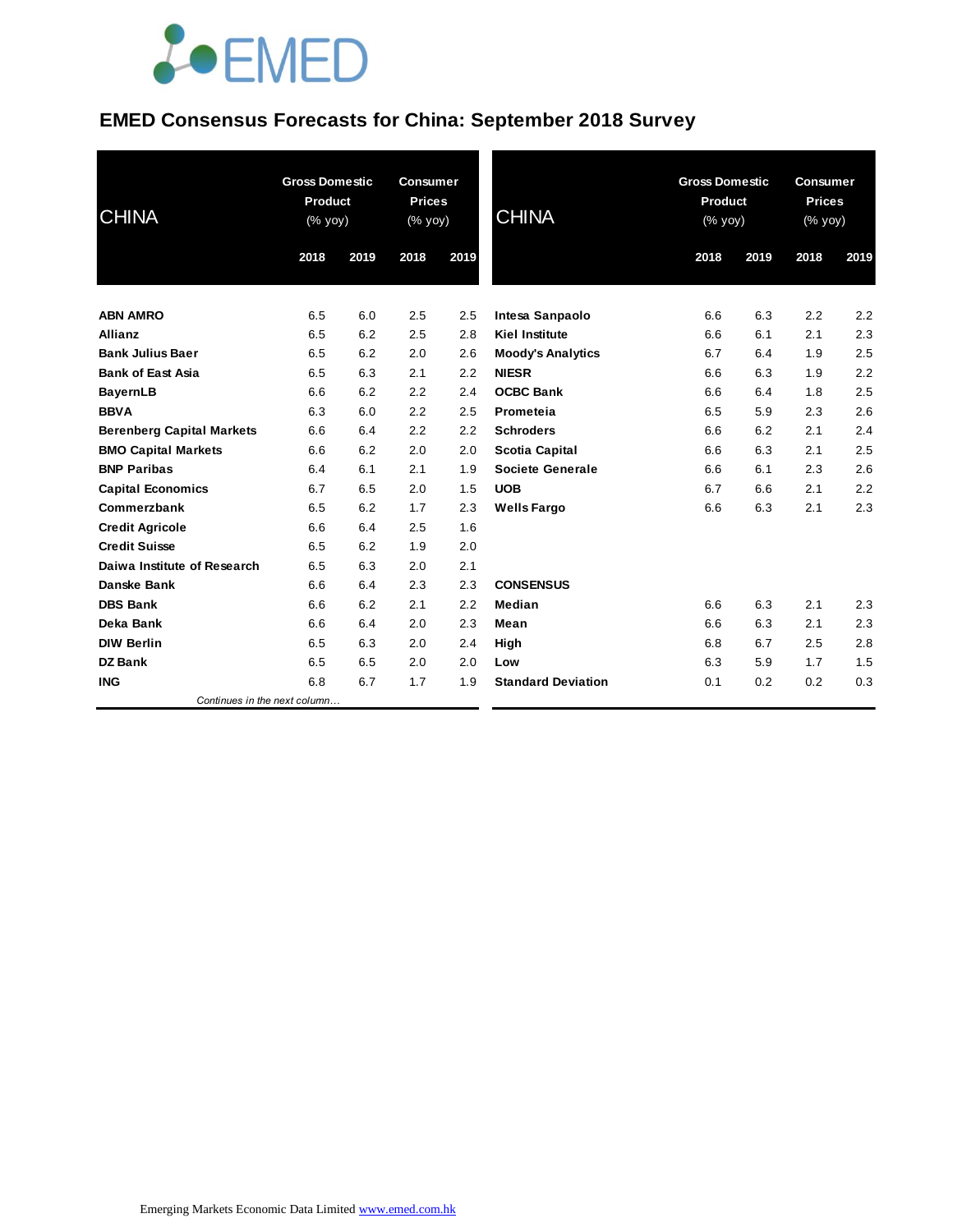# **JOEMED**

### **EMED Consensus Forecasts for China: September 2018 Survey**

| <b>CHINA</b>                     |      | <b>Gross Domestic</b><br>Product<br>(% yoy) |      | <b>Consumer</b><br><b>Prices</b><br>(% yoy) | <b>CHINA</b>              | <b>Gross Domestic</b><br>Product<br>(% yoy) |      | <b>Consumer</b><br><b>Prices</b><br>(% yoy) |      |
|----------------------------------|------|---------------------------------------------|------|---------------------------------------------|---------------------------|---------------------------------------------|------|---------------------------------------------|------|
|                                  | 2018 | 2019                                        | 2018 | 2019                                        |                           | 2018                                        | 2019 | 2018                                        | 2019 |
| <b>ABN AMRO</b>                  | 6.5  | 6.0                                         | 2.5  | 2.5                                         | Intesa Sanpaolo           | 6.6                                         | 6.3  | 2.2                                         | 2.2  |
| <b>Allianz</b>                   | 6.5  | 6.2                                         | 2.5  | 2.8                                         | <b>Kiel Institute</b>     | 6.6                                         | 6.1  | 2.1                                         | 2.3  |
| <b>Bank Julius Baer</b>          | 6.5  | 6.2                                         | 2.0  | 2.6                                         | <b>Moody's Analytics</b>  | 6.7                                         | 6.4  | 1.9                                         | 2.5  |
| <b>Bank of East Asia</b>         | 6.5  | 6.3                                         | 2.1  | 2.2                                         | <b>NIESR</b>              | 6.6                                         | 6.3  | 1.9                                         | 2.2  |
| <b>BayernLB</b>                  | 6.6  | 6.2                                         | 2.2  | 2.4                                         | <b>OCBC Bank</b>          | 6.6                                         | 6.4  | 1.8                                         | 2.5  |
| <b>BBVA</b>                      | 6.3  | 6.0                                         | 2.2  | 2.5                                         | Prometeia                 | 6.5                                         | 5.9  | 2.3                                         | 2.6  |
| <b>Berenberg Capital Markets</b> | 6.6  | 6.4                                         | 2.2  | 2.2                                         | <b>Schroders</b>          | 6.6                                         | 6.2  | 2.1                                         | 2.4  |
| <b>BMO Capital Markets</b>       | 6.6  | 6.2                                         | 2.0  | 2.0                                         | <b>Scotia Capital</b>     | 6.6                                         | 6.3  | 2.1                                         | 2.5  |
| <b>BNP Paribas</b>               | 6.4  | 6.1                                         | 2.1  | 1.9                                         | Societe Generale          | 6.6                                         | 6.1  | 2.3                                         | 2.6  |
| <b>Capital Economics</b>         | 6.7  | 6.5                                         | 2.0  | 1.5                                         | <b>UOB</b>                | 6.7                                         | 6.6  | 2.1                                         | 2.2  |
| Commerzbank                      | 6.5  | 6.2                                         | 1.7  | 2.3                                         | <b>Wells Fargo</b>        | 6.6                                         | 6.3  | 2.1                                         | 2.3  |
| <b>Credit Agricole</b>           | 6.6  | 6.4                                         | 2.5  | 1.6                                         |                           |                                             |      |                                             |      |
| <b>Credit Suisse</b>             | 6.5  | 6.2                                         | 1.9  | 2.0                                         |                           |                                             |      |                                             |      |
| Daiwa Institute of Research      | 6.5  | 6.3                                         | 2.0  | 2.1                                         |                           |                                             |      |                                             |      |
| <b>Danske Bank</b>               | 6.6  | 6.4                                         | 2.3  | 2.3                                         | <b>CONSENSUS</b>          |                                             |      |                                             |      |
| <b>DBS Bank</b>                  | 6.6  | 6.2                                         | 2.1  | 2.2                                         | Median                    | 6.6                                         | 6.3  | 2.1                                         | 2.3  |
| Deka Bank                        | 6.6  | 6.4                                         | 2.0  | 2.3                                         | Mean                      | 6.6                                         | 6.3  | 2.1                                         | 2.3  |
| <b>DIW Berlin</b>                | 6.5  | 6.3                                         | 2.0  | 2.4                                         | High                      | 6.8                                         | 6.7  | 2.5                                         | 2.8  |
| <b>DZ Bank</b>                   | 6.5  | 6.5                                         | 2.0  | 2.0                                         | Low                       | 6.3                                         | 5.9  | 1.7                                         | 1.5  |
| <b>ING</b>                       | 6.8  | 6.7                                         | 1.7  | 1.9                                         | <b>Standard Deviation</b> | 0.1                                         | 0.2  | 0.2                                         | 0.3  |
| Continues in the next column     |      |                                             |      |                                             |                           |                                             |      |                                             |      |